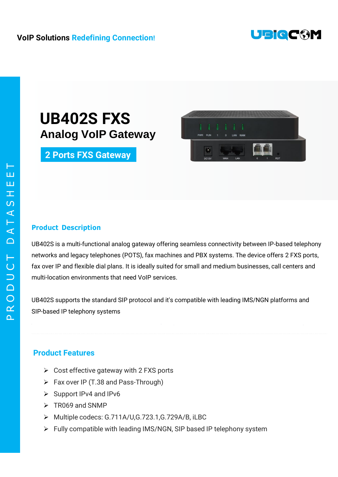

## **VoIP Solutions Redefining Connection!**

## **UB402S FXS Analog VoIP Gateway**

**2 Ports FXS Gateway**



#### **Product Description**

UB402S is a multi-functional analog gateway offering seamless connectivity between IP-based telephony networks and legacy telephones (POTS), fax machines and PBX systems. The device offers 2 FXS ports, fax over IP and flexible dial plans. It is ideally suited for small and medium businesses, call centers and multi-location environments that need VoIP services.

UB402S supports the standard SIP protocol and it's compatible with leading IMS/NGN platforms and SIP-based IP telephony systems

### **Product Features**

- $\triangleright$  Cost effective gateway with 2 FXS ports
- $\triangleright$  Fax over IP (T.38 and Pass-Through)
- $\triangleright$  Support IPv4 and IPv6
- $\triangleright$  TR069 and SNMP
- Multiple codecs: G.711A/U,G.723.1,G.729A/B, iLBC
- Fully compatible with leading IMS/NGN, SIP based IP telephony system